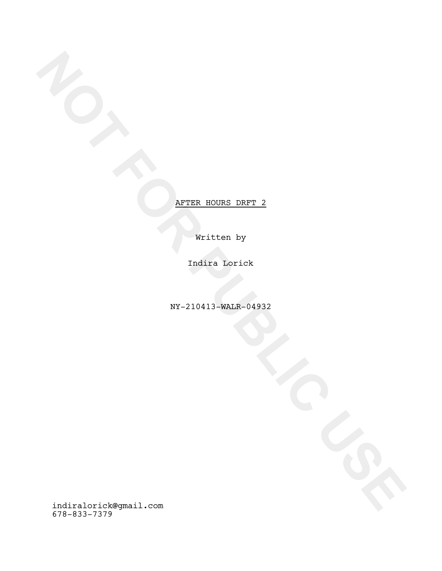Written by

Indira Lorick

NY-210413-WALR-04932

**NOTE**<br>
NOTE<br>
NOTE<br>
NOTE<br>
NOTE<br>
NOTE<br>
NOTE<br>
NOTE<br>
NOTE<br>
NOTE<br>
NOTE<br>
NOTE<br>
NOTE<br>
NOTE<br>
NOTE<br>
NOTE<br>
NOTE<br>
NOTE<br>
NOTE<br>
NOTE<br>
NOTE<br>
NOTE<br>
NOTE<br>
NOTE<br>
NOTE<br>
NOTE<br>
NOTE<br>
NOTE<br>
NOTE<br>
NOTE<br>
NOTE<br>
NOTE<br>
NOTE<br>
NOTE<br>
NOTE<br>
NOTE<br>
NOTE indiralorick@gmail.com 678-833-7379